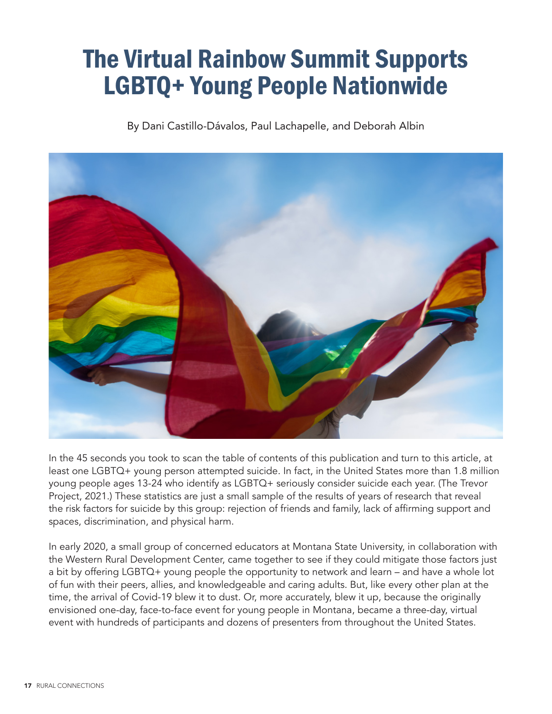# The Virtual Rainbow Summit Supports LGBTQ+ Young People Nationwide

By Dani Castillo-Dávalos, Paul Lachapelle, and Deborah Albin



In the 45 seconds you took to scan the table of contents of this publication and turn to this article, at least one LGBTQ+ young person attempted suicide. In fact, in the United States more than 1.8 million young people ages 13-24 who identify as LGBTQ+ seriously consider suicide each year. (The Trevor Project, 2021.) These statistics are just a small sample of the results of years of research that reveal the risk factors for suicide by this group: rejection of friends and family, lack of affirming support and spaces, discrimination, and physical harm.

In early 2020, a small group of concerned educators at Montana State University, in collaboration with the Western Rural Development Center, came together to see if they could mitigate those factors just a bit by offering LGBTQ+ young people the opportunity to network and learn – and have a whole lot of fun with their peers, allies, and knowledgeable and caring adults. But, like every other plan at the time, the arrival of Covid-19 blew it to dust. Or, more accurately, blew it up, because the originally envisioned one-day, face-to-face event for young people in Montana, became a three-day, virtual event with hundreds of participants and dozens of presenters from throughout the United States.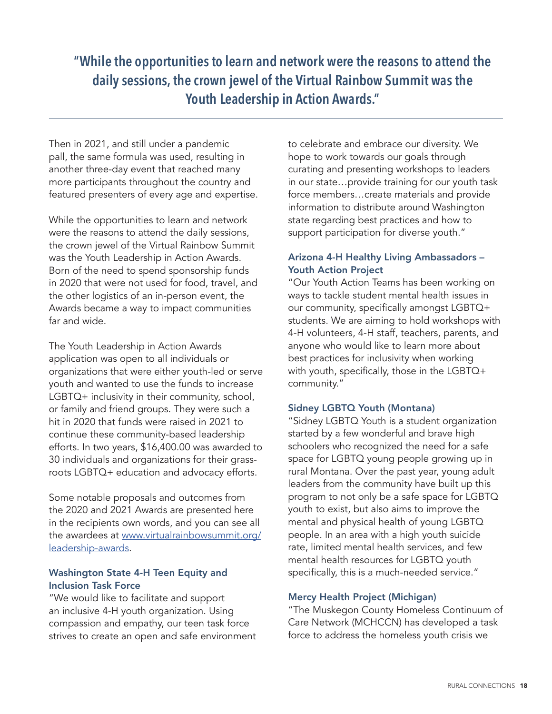**"While the opportunities to learn and network were the reasons to attend the daily sessions, the crown jewel of the Virtual Rainbow Summit was the Youth Leadership in Action Awards."**

Then in 2021, and still under a pandemic pall, the same formula was used, resulting in another three-day event that reached many more participants throughout the country and featured presenters of every age and expertise.

While the opportunities to learn and network were the reasons to attend the daily sessions, the crown jewel of the Virtual Rainbow Summit was the Youth Leadership in Action Awards. Born of the need to spend sponsorship funds in 2020 that were not used for food, travel, and the other logistics of an in-person event, the Awards became a way to impact communities far and wide.

The Youth Leadership in Action Awards application was open to all individuals or organizations that were either youth-led or serve youth and wanted to use the funds to increase LGBTQ+ inclusivity in their community, school, or family and friend groups. They were such a hit in 2020 that funds were raised in 2021 to continue these community-based leadership efforts. In two years, \$16,400.00 was awarded to 30 individuals and organizations for their grassroots LGBTQ+ education and advocacy efforts.

Some notable proposals and outcomes from the 2020 and 2021 Awards are presented here in the recipients own words, and you can see all the awardees at [www.virtualrainbowsummit.org/](http://www.virtualrainbowsummit.org/leadership-awards) [leadership-awards](http://www.virtualrainbowsummit.org/leadership-awards).

# Washington State 4-H Teen Equity and Inclusion Task Force

"We would like to facilitate and support an inclusive 4-H youth organization. Using compassion and empathy, our teen task force strives to create an open and safe environment to celebrate and embrace our diversity. We hope to work towards our goals through curating and presenting workshops to leaders in our state…provide training for our youth task force members…create materials and provide information to distribute around Washington state regarding best practices and how to support participation for diverse youth."

### Arizona 4-H Healthy Living Ambassadors – Youth Action Project

"Our Youth Action Teams has been working on ways to tackle student mental health issues in our community, specifically amongst LGBTQ+ students. We are aiming to hold workshops with 4-H volunteers, 4-H staff, teachers, parents, and anyone who would like to learn more about best practices for inclusivity when working with youth, specifically, those in the LGBTQ+ community."

#### Sidney LGBTQ Youth (Montana)

"Sidney LGBTQ Youth is a student organization started by a few wonderful and brave high schoolers who recognized the need for a safe space for LGBTQ young people growing up in rural Montana. Over the past year, young adult leaders from the community have built up this program to not only be a safe space for LGBTQ youth to exist, but also aims to improve the mental and physical health of young LGBTQ people. In an area with a high youth suicide rate, limited mental health services, and few mental health resources for LGBTQ youth specifically, this is a much-needed service."

#### Mercy Health Project (Michigan)

"The Muskegon County Homeless Continuum of Care Network (MCHCCN) has developed a task force to address the homeless youth crisis we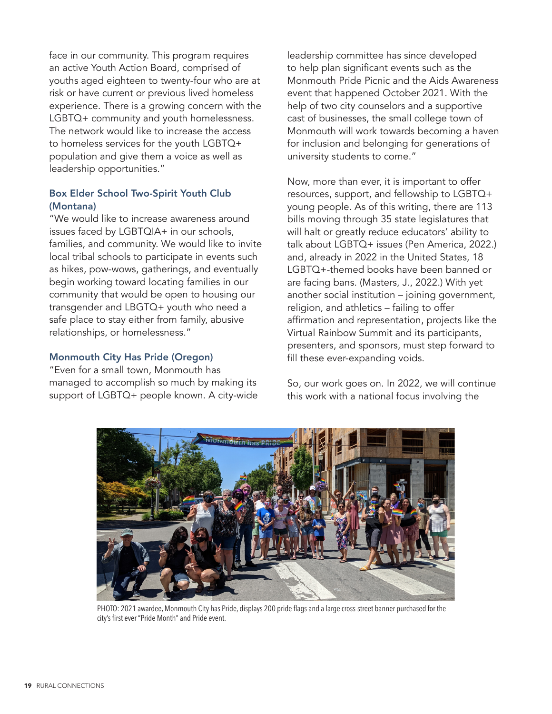face in our community. This program requires an active Youth Action Board, comprised of youths aged eighteen to twenty-four who are at risk or have current or previous lived homeless experience. There is a growing concern with the LGBTQ+ community and youth homelessness. The network would like to increase the access to homeless services for the youth LGBTQ+ population and give them a voice as well as leadership opportunities."

# Box Elder School Two-Spirit Youth Club (Montana)

"We would like to increase awareness around issues faced by LGBTQIA+ in our schools, families, and community. We would like to invite local tribal schools to participate in events such as hikes, pow-wows, gatherings, and eventually begin working toward locating families in our community that would be open to housing our transgender and LBGTQ+ youth who need a safe place to stay either from family, abusive relationships, or homelessness."

#### Monmouth City Has Pride (Oregon)

"Even for a small town, Monmouth has managed to accomplish so much by making its support of LGBTQ+ people known. A city-wide leadership committee has since developed to help plan significant events such as the Monmouth Pride Picnic and the Aids Awareness event that happened October 2021. With the help of two city counselors and a supportive cast of businesses, the small college town of Monmouth will work towards becoming a haven for inclusion and belonging for generations of university students to come."

Now, more than ever, it is important to offer resources, support, and fellowship to LGBTQ+ young people. As of this writing, there are 113 bills moving through 35 state legislatures that will halt or greatly reduce educators' ability to talk about LGBTQ+ issues (Pen America, 2022.) and, already in 2022 in the United States, 18 LGBTQ+-themed books have been banned or are facing bans. (Masters, J., 2022.) With yet another social institution – joining government, religion, and athletics – failing to offer affirmation and representation, projects like the Virtual Rainbow Summit and its participants, presenters, and sponsors, must step forward to fill these ever-expanding voids.

So, our work goes on. In 2022, we will continue this work with a national focus involving the



PHOTO: 2021 awardee, Monmouth City has Pride, displays 200 pride flags and a large cross-street banner purchased for the city's first ever "Pride Month" and Pride event.